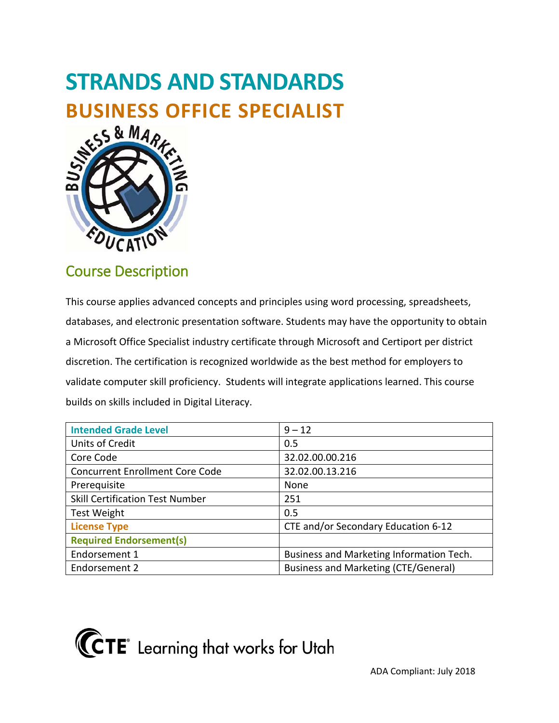# **STRANDS AND STANDARDS BUSINESS OFFICE SPECIALIST**



# Course Description

 databases, and electronic presentation software. Students may have the opportunity to obtain a Microsoft Office Specialist industry certificate through Microsoft and Certiport per district discretion. The certification is recognized worldwide as the best method for employers to This course applies advanced concepts and principles using word processing, spreadsheets, validate computer skill proficiency. Students will integrate applications learned. This course builds on skills included in Digital Literacy.

| <b>Intended Grade Level</b>            | $9 - 12$                                 |
|----------------------------------------|------------------------------------------|
| Units of Credit                        | 0.5                                      |
| Core Code                              | 32.02.00.00.216                          |
| <b>Concurrent Enrollment Core Code</b> | 32.02.00.13.216                          |
| Prerequisite                           | None                                     |
| <b>Skill Certification Test Number</b> | 251                                      |
| <b>Test Weight</b>                     | 0.5                                      |
| <b>License Type</b>                    | CTE and/or Secondary Education 6-12      |
| <b>Required Endorsement(s)</b>         |                                          |
| Endorsement 1                          | Business and Marketing Information Tech. |
| Endorsement 2                          | Business and Marketing (CTE/General)     |

**KCTE** Learning that works for Utah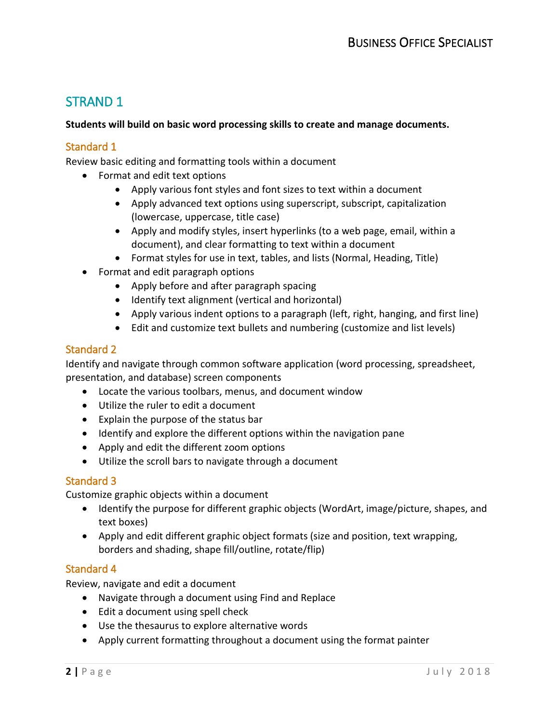# STRAND 1

#### **Students will build on basic word processing skills to create and manage documents.**

#### Standard 1

Review basic editing and formatting tools within a document

- Format and edit text options
	- Apply various font styles and font sizes to text within a document
	- Apply advanced text options using superscript, subscript, capitalization (lowercase, uppercase, title case)
	- Apply and modify styles, insert hyperlinks (to a web page, email, within a document), and clear formatting to text within a document
	- Format styles for use in text, tables, and lists (Normal, Heading, Title)
- Format and edit paragraph options
	- Apply before and after paragraph spacing
	- Identify text alignment (vertical and horizontal)
	- Apply various indent options to a paragraph (left, right, hanging, and first line)
	- Edit and customize text bullets and numbering (customize and list levels)

#### Standard 2

Identify and navigate through common software application (word processing, spreadsheet, presentation, and database) screen components

- Locate the various toolbars, menus, and document window
- Utilize the ruler to edit a document
- Explain the purpose of the status bar
- Identify and explore the different options within the navigation pane
- Apply and edit the different zoom options
- Utilize the scroll bars to navigate through a document

#### Standard 3

Customize graphic objects within a document

- Identify the purpose for different graphic objects (WordArt, image/picture, shapes, and text boxes)
- Apply and edit different graphic object formats (size and position, text wrapping, borders and shading, shape fill/outline, rotate/flip)

#### Standard 4

Review, navigate and edit a document

- Navigate through a document using Find and Replace
- Edit a document using spell check
- Use the thesaurus to explore alternative words
- Apply current formatting throughout a document using the format painter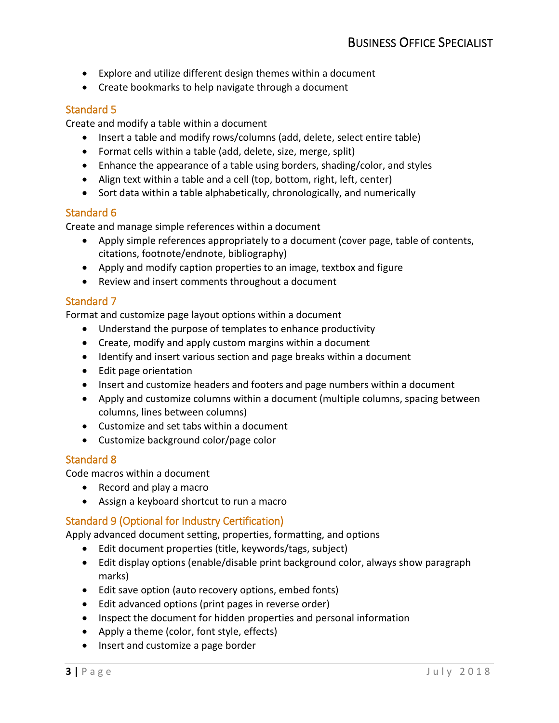- Explore and utilize different design themes within a document
- Create bookmarks to help navigate through a document

# Standard 5

Create and modify a table within a document

- Insert a table and modify rows/columns (add, delete, select entire table)
- Format cells within a table (add, delete, size, merge, split)
- Enhance the appearance of a table using borders, shading/color, and styles
- Align text within a table and a cell (top, bottom, right, left, center)
- Sort data within a table alphabetically, chronologically, and numerically

# Standard 6

Create and manage simple references within a document

- • Apply simple references appropriately to a document (cover page, table of contents, citations, footnote/endnote, bibliography)
- Apply and modify caption properties to an image, textbox and figure
- Review and insert comments throughout a document

# Standard 7

Format and customize page layout options within a document

- Understand the purpose of templates to enhance productivity
- Create, modify and apply custom margins within a document
- Identify and insert various section and page breaks within a document
- Edit page orientation
- Insert and customize headers and footers and page numbers within a document
- Apply and customize columns within a document (multiple columns, spacing between columns, lines between columns)
- Customize and set tabs within a document
- Customize background color/page color

# Standard 8

Code macros within a document

- Record and play a macro
- Assign a keyboard shortcut to run a macro

# Standard 9 (Optional for Industry Certification)

Apply advanced document setting, properties, formatting, and options

- Edit document properties (title, keywords/tags, subject)
- Edit display options (enable/disable print background color, always show paragraph marks)
- Edit save option (auto recovery options, embed fonts)
- Edit advanced options (print pages in reverse order)
- Inspect the document for hidden properties and personal information
- Apply a theme (color, font style, effects)
- Insert and customize a page border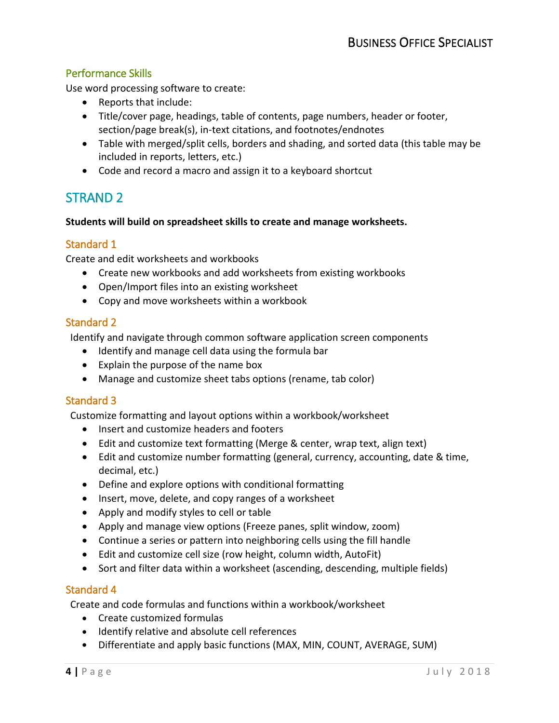# Performance Skills

Use word processing software to create:

- Reports that include:
- • Title/cover page, headings, table of contents, page numbers, header or footer, section/page break(s), in-text citations, and footnotes/endnotes
- Table with merged/split cells, borders and shading, and sorted data (this table may be included in reports, letters, etc.)
- Code and record a macro and assign it to a keyboard shortcut

# STRAND 2

#### **Students will build on spreadsheet skills to create and manage worksheets.**

# Standard 1

Create and edit worksheets and workbooks

- Create new workbooks and add worksheets from existing workbooks
- Open/Import files into an existing worksheet
- Copy and move worksheets within a workbook

# Standard 2

Identify and navigate through common software application screen components

- Identify and manage cell data using the formula bar
- Explain the purpose of the name box
- Manage and customize sheet tabs options (rename, tab color)

# Standard 3

Customize formatting and layout options within a workbook/worksheet

- Insert and customize headers and footers
- Edit and customize text formatting (Merge & center, wrap text, align text)
- • Edit and customize number formatting (general, currency, accounting, date & time, decimal, etc.)
- Define and explore options with conditional formatting
- Insert, move, delete, and copy ranges of a worksheet
- Apply and modify styles to cell or table
- Apply and manage view options (Freeze panes, split window, zoom)
- Continue a series or pattern into neighboring cells using the fill handle
- Edit and customize cell size (row height, column width, AutoFit)
- Sort and filter data within a worksheet (ascending, descending, multiple fields)

#### Standard 4

Create and code formulas and functions within a workbook/worksheet

- Create customized formulas
- Identify relative and absolute cell references
- Differentiate and apply basic functions (MAX, MIN, COUNT, AVERAGE, SUM)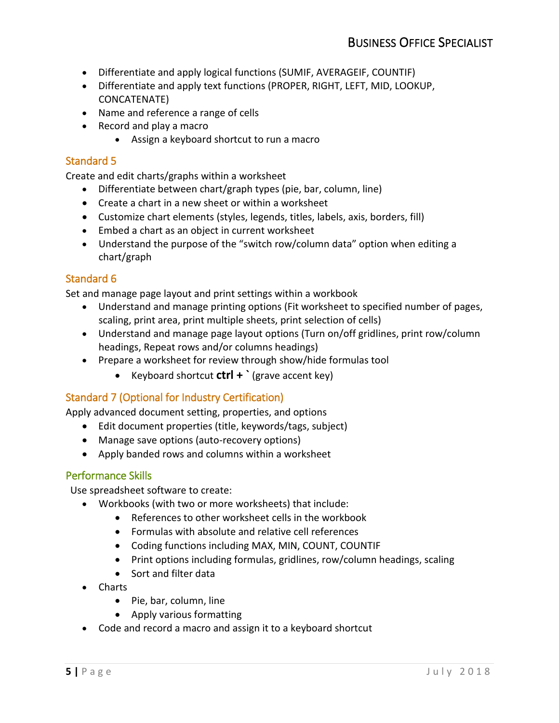- Differentiate and apply logical functions (SUMIF, AVERAGEIF, COUNTIF)
- Differentiate and apply text functions (PROPER, RIGHT, LEFT, MID, LOOKUP, CONCATENATE)
- Name and reference a range of cells
- Record and play a macro
	- Assign a keyboard shortcut to run a macro

# Standard 5

Create and edit charts/graphs within a worksheet

- Differentiate between chart/graph types (pie, bar, column, line)
- Create a chart in a new sheet or within a worksheet
- Customize chart elements (styles, legends, titles, labels, axis, borders, fill)
- Embed a chart as an object in current worksheet
- • Understand the purpose of the "switch row/column data" option when editing a chart/graph

# Standard 6

Set and manage page layout and print settings within a workbook

- Understand and manage printing options (Fit worksheet to specified number of pages, scaling, print area, print multiple sheets, print selection of cells)
- Understand and manage page layout options (Turn on/off gridlines, print row/column headings, Repeat rows and/or columns headings)
- Prepare a worksheet for review through show/hide formulas tool
	- Keyboard shortcut **ctrl + `** (grave accent key)

# Standard 7 (Optional for Industry Certification)

Apply advanced document setting, properties, and options

- Edit document properties (title, keywords/tags, subject)
- Manage save options (auto-recovery options)
- Apply banded rows and columns within a worksheet

#### Performance Skills

Use spreadsheet software to create:

- Workbooks (with two or more worksheets) that include:
	- References to other worksheet cells in the workbook
	- Formulas with absolute and relative cell references
	- Coding functions including MAX, MIN, COUNT, COUNTIF
	- Print options including formulas, gridlines, row/column headings, scaling
	- Sort and filter data
- Charts
	- Pie, bar, column, line
	- Apply various formatting
- Code and record a macro and assign it to a keyboard shortcut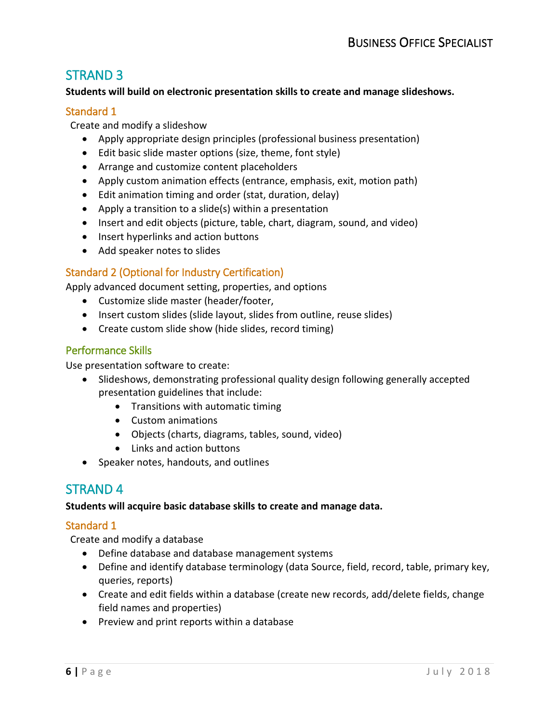# STRAND 3

#### **Students will build on electronic presentation skills to create and manage slideshows.**

#### Standard 1

Create and modify a slideshow

- Apply appropriate design principles (professional business presentation)
- Edit basic slide master options (size, theme, font style)
- Arrange and customize content placeholders
- Apply custom animation effects (entrance, emphasis, exit, motion path)
- Edit animation timing and order (stat, duration, delay)
- Apply a transition to a slide(s) within a presentation
- Insert and edit objects (picture, table, chart, diagram, sound, and video)
- Insert hyperlinks and action buttons
- Add speaker notes to slides

# Standard 2 (Optional for Industry Certification)

Apply advanced document setting, properties, and options

- Customize slide master (header/footer,
- Insert custom slides (slide layout, slides from outline, reuse slides)
- Create custom slide show (hide slides, record timing)

#### Performance Skills

Use presentation software to create:

- Slideshows, demonstrating professional quality design following generally accepted presentation guidelines that include:
	- Transitions with automatic timing
	- Custom animations
	- Objects (charts, diagrams, tables, sound, video)
	- Links and action buttons
- Speaker notes, handouts, and outlines

# STRAND 4

#### **Students will acquire basic database skills to create and manage data.**

#### Standard 1

Create and modify a database

- Define database and database management systems
- • Define and identify database terminology (data Source, field, record, table, primary key, queries, reports)
- Create and edit fields within a database (create new records, add/delete fields, change field names and properties)
- Preview and print reports within a database